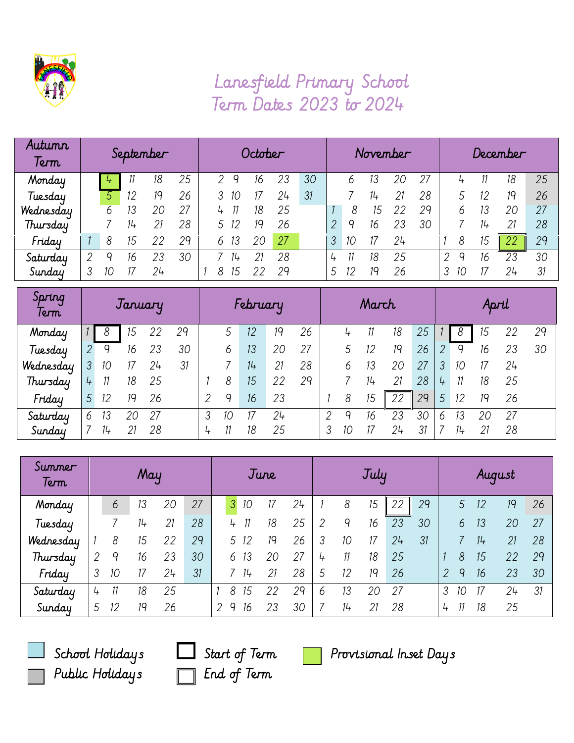

## Lanesfield Primary School Term Dates 2023 to 2024

| Autumn<br>Term | September |    |    |    | October |  |   |    |    |    |    | November |    |    |    |    | December |    |        |    |    |
|----------------|-----------|----|----|----|---------|--|---|----|----|----|----|----------|----|----|----|----|----------|----|--------|----|----|
| Monday         |           | 4  |    | 18 | 25      |  | ↷ |    | 16 | 23 | 30 |          | 6  |    | 20 | 27 |          | 4  |        | 18 | 25 |
| Tuesday        |           | 5  | 12 | 19 | 26      |  |   | 10 |    | 24 | 31 |          |    | 14 |    | 28 |          |    | 12     | 19 | 26 |
| Wednesday      |           | h  | 13 | 20 | 27      |  | 4 |    | 18 | 25 |    |          |    | 5  |    | 29 |          |    | 13     | 20 | 27 |
| Thursday       |           |    |    |    | 28      |  | 5 | 12 | 19 | 26 |    |          | q  | 16 | 23 | 30 |          |    | $11 +$ | 21 | 28 |
| Friday         |           | 8  | 15 |    | 29      |  | 6 | 13 |    | 27 |    |          | 10 |    | 24 |    |          |    | 15     | 22 | 29 |
| Saturday       | 2         | Q  | 16 | 23 | 30      |  |   | 14 |    | 28 |    | 4        |    | 18 | 25 |    |          | Q  | 16     | 23 | 30 |
| Sunday         | 3         | 10 |    | 24 |         |  | 8 | 15 |    | 29 |    | 5.       | 12 | 19 | 26 |    |          | 10 |        | 24 | 31 |

| Spring<br>Term | January        |       |    |    | February |                |    |    |    |    | March |    |    |    |    | April |    |    |    |    |
|----------------|----------------|-------|----|----|----------|----------------|----|----|----|----|-------|----|----|----|----|-------|----|----|----|----|
| Monday         |                | 8     | 15 |    | 29       |                |    | 12 | 19 | 26 |       |    |    | 18 | 25 |       | 8  | 15 | 22 | 29 |
| Tuesday        | 2              | 9     | 16 | 23 | 30       |                | 6  | 13 | 20 | 27 |       |    |    | 19 | 26 |       | 9  | 16 | 23 | 30 |
| Wednesday      | 3 <sup>1</sup> | 10    |    | 24 | 31       |                |    | 14 | 21 | 28 |       | b  | 13 | 20 | 27 | 3     | 10 | 17 | 24 |    |
| Thursday       | 4              | 11    | 18 | 25 |          |                | 8  | 15 | 22 | 29 |       |    | 14 | 21 | 28 | 4     | 11 | 18 | 25 |    |
| Friday         | 5              | 12    | 19 | 26 |          | $\overline{2}$ | q  | 16 | 23 |    |       | 8  | 15 | 22 | 29 | 5     | 12 | 19 | 26 |    |
| Saturday       | 6              | 13    |    | 27 |          | 3              | 10 | 17 | 24 |    | 2     | q  | 16 | 23 | 30 | h     | 13 | 20 | 27 |    |
| Sunday         |                | $11+$ | 21 | 28 |          | 4              | 11 | 18 | 25 |    | 3     | 10 |    | 24 | 31 |       | 14 | 21 | 28 |    |

| Summer<br>Term | May |    |    |    | June |   |               |       | July |    |                |        |    |    | August |   |   |    |    |    |
|----------------|-----|----|----|----|------|---|---------------|-------|------|----|----------------|--------|----|----|--------|---|---|----|----|----|
| Monday         |     | 6  | 13 | 20 | 27   |   | $\mathcal{S}$ | 10    |      | 24 |                | 8      | 15 | 22 | 29     |   | 5 | 12 | 19 | 26 |
| Tuesday        |     |    | 14 | 21 | 28   |   | 4             |       | 18   | 25 | $\overline{2}$ | 9      | 16 | 23 | 30     |   | 6 | 13 | 20 | 27 |
| Wednesday      |     | 8  | 15 | 22 | 29   |   | 5             | -12   | 19   | 26 | 3              | 10     | 17 | 24 | 31     |   |   | 14 | 21 | 28 |
| Thursday       | 2   | 9  | 16 | 23 | 30   |   | 6             | 13    | 20   | 27 | 4              | 11     | 18 | 25 |        |   | 8 | 15 | 22 | 29 |
| Friday         | 3   | 10 | 17 | 24 | 31   |   |               | $11+$ | 21   | 28 | 5              | 12     | 19 | 26 |        | 2 | 9 | 16 | 23 | 30 |
| Saturday       | 4   | 11 | 18 | 25 |      |   | 8             | 15    | 22   | 29 | 6              | 13     | 20 | 27 |        | 3 |   |    | 24 | 31 |
| Sunday         | 5   | 12 | 19 | 26 |      | 2 | q             | 16    | 23   | 30 |                | $11 +$ | 21 | 28 |        | 4 |   | 18 | 25 |    |





School Holidays  $\Box$  Start of Term  $\Box$  Provisional Inset Days